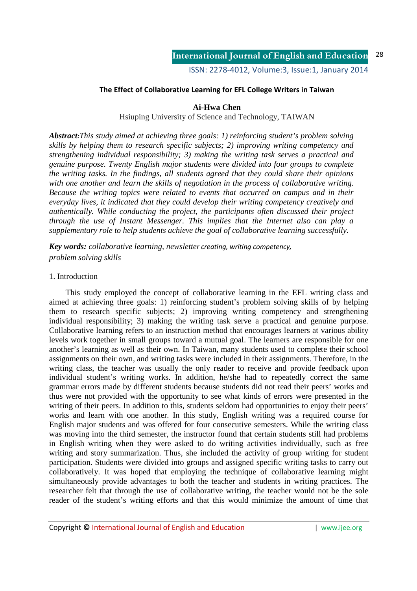# **The Effect of Collaborative Learning for EFL College Writers in Taiwan**

# **Ai-Hwa Chen**

Hsiuping University of Science and Technology, TAIWAN

*Abstract:This study aimed at achieving three goals: 1) reinforcing student's problem solving skills by helping them to research specific subjects; 2) improving writing competency and strengthening individual responsibility; 3) making the writing task serves a practical and genuine purpose. Twenty English major students were divided into four groups to complete the writing tasks. In the findings, all students agreed that they could share their opinions with one another and learn the skills of negotiation in the process of collaborative writing. Because the writing topics were related to events that occurred on campus and in their everyday lives, it indicated that they could develop their writing competency creatively and authentically. While conducting the project, the participants often discussed their project through the use of Instant Messenger. This implies that the Internet also can play a supplementary role to help students achieve the goal of collaborative learning successfully.* 

*Key words: collaborative learning, newsletter creating, writing competency, problem solving skills* 

# 1. Introduction

This study employed the concept of collaborative learning in the EFL writing class and aimed at achieving three goals: 1) reinforcing student's problem solving skills of by helping them to research specific subjects; 2) improving writing competency and strengthening individual responsibility; 3) making the writing task serve a practical and genuine purpose. Collaborative learning refers to an instruction method that encourages learners at various ability levels work together in small groups toward a mutual goal. The learners are responsible for one another's learning as well as their own. In Taiwan, many students used to complete their school assignments on their own, and writing tasks were included in their assignments. Therefore, in the writing class, the teacher was usually the only reader to receive and provide feedback upon individual student's writing works. In addition, he/she had to repeatedly correct the same grammar errors made by different students because students did not read their peers' works and thus were not provided with the opportunity to see what kinds of errors were presented in the writing of their peers. In addition to this, students seldom had opportunities to enjoy their peers' works and learn with one another. In this study, English writing was a required course for English major students and was offered for four consecutive semesters. While the writing class was moving into the third semester, the instructor found that certain students still had problems in English writing when they were asked to do writing activities individually, such as free writing and story summarization. Thus, she included the activity of group writing for student participation. Students were divided into groups and assigned specific writing tasks to carry out collaboratively. It was hoped that employing the technique of collaborative learning might simultaneously provide advantages to both the teacher and students in writing practices. The researcher felt that through the use of collaborative writing, the teacher would not be the sole reader of the student's writing efforts and that this would minimize the amount of time that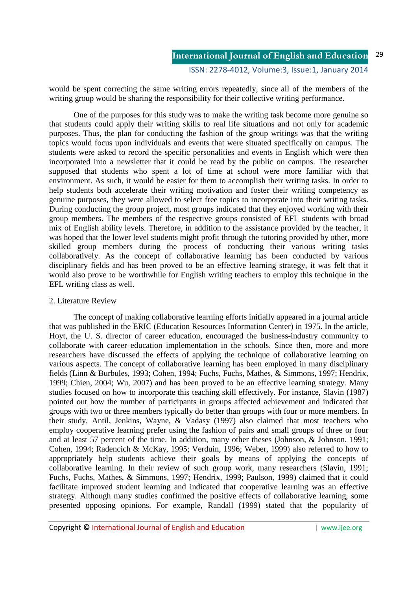would be spent correcting the same writing errors repeatedly, since all of the members of the writing group would be sharing the responsibility for their collective writing performance.

 One of the purposes for this study was to make the writing task become more genuine so that students could apply their writing skills to real life situations and not only for academic purposes. Thus, the plan for conducting the fashion of the group writings was that the writing topics would focus upon individuals and events that were situated specifically on campus. The students were asked to record the specific personalities and events in English which were then incorporated into a newsletter that it could be read by the public on campus. The researcher supposed that students who spent a lot of time at school were more familiar with that environment. As such, it would be easier for them to accomplish their writing tasks. In order to help students both accelerate their writing motivation and foster their writing competency as genuine purposes, they were allowed to select free topics to incorporate into their writing tasks. During conducting the group project, most groups indicated that they enjoyed working with their group members. The members of the respective groups consisted of EFL students with broad mix of English ability levels. Therefore, in addition to the assistance provided by the teacher, it was hoped that the lower level students might profit through the tutoring provided by other, more skilled group members during the process of conducting their various writing tasks collaboratively. As the concept of collaborative learning has been conducted by various disciplinary fields and has been proved to be an effective learning strategy, it was felt that it would also prove to be worthwhile for English writing teachers to employ this technique in the EFL writing class as well.

# 2. Literature Review

The concept of making collaborative learning efforts initially appeared in a journal article that was published in the ERIC (Education Resources Information Center) in 1975. In the article, Hoyt, the U. S. director of career education, encouraged the business-industry community to collaborate with career education implementation in the schools. Since then, more and more researchers have discussed the effects of applying the technique of collaborative learning on various aspects. The concept of collaborative learning has been employed in many disciplinary fields (Linn & Burbules, 1993; Cohen, 1994; Fuchs, Fuchs, Mathes, & Simmons, 1997; Hendrix, 1999; Chien, 2004; Wu, 2007) and has been proved to be an effective learning strategy. Many studies focused on how to incorporate this teaching skill effectively. For instance, Slavin (1987) pointed out how the number of participants in groups affected achievement and indicated that groups with two or three members typically do better than groups with four or more members. In their study, Antil, Jenkins, Wayne, & Vadasy (1997) also claimed that most teachers who employ cooperative learning prefer using the fashion of pairs and small groups of three or four and at least 57 percent of the time. In addition, many other theses (Johnson, & Johnson, 1991; Cohen, 1994; Radencich & McKay, 1995; Verduin, 1996; Weber, 1999) also referred to how to appropriately help students achieve their goals by means of applying the concepts of collaborative learning. In their review of such group work, many researchers (Slavin, 1991; Fuchs, Fuchs, Mathes, & Simmons, 1997; Hendrix, 1999; Paulson, 1999) claimed that it could facilitate improved student learning and indicated that cooperative learning was an effective strategy. Although many studies confirmed the positive effects of collaborative learning, some presented opposing opinions. For example, Randall (1999) stated that the popularity of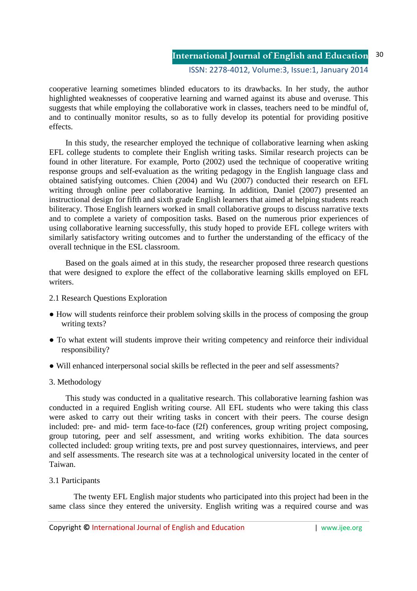## ISSN: 2278-4012, Volume:3, Issue:1, January 2014

cooperative learning sometimes blinded educators to its drawbacks. In her study, the author highlighted weaknesses of cooperative learning and warned against its abuse and overuse. This suggests that while employing the collaborative work in classes, teachers need to be mindful of, and to continually monitor results, so as to fully develop its potential for providing positive effects.

In this study, the researcher employed the technique of collaborative learning when asking EFL college students to complete their English writing tasks. Similar research projects can be found in other literature. For example, Porto (2002) used the technique of cooperative writing response groups and self-evaluation as the writing pedagogy in the English language class and obtained satisfying outcomes. Chien (2004) and Wu (2007) conducted their research on EFL writing through online peer collaborative learning. In addition, Daniel (2007) presented an instructional design for fifth and sixth grade English learners that aimed at helping students reach biliteracy. Those English learners worked in small collaborative groups to discuss narrative texts and to complete a variety of composition tasks. Based on the numerous prior experiences of using collaborative learning successfully, this study hoped to provide EFL college writers with similarly satisfactory writing outcomes and to further the understanding of the efficacy of the overall technique in the ESL classroom.

Based on the goals aimed at in this study, the researcher proposed three research questions that were designed to explore the effect of the collaborative learning skills employed on EFL writers.

- 2.1 Research Questions Exploration
- How will students reinforce their problem solving skills in the process of composing the group writing texts?
- To what extent will students improve their writing competency and reinforce their individual responsibility?
- Will enhanced interpersonal social skills be reflected in the peer and self assessments?
- 3. Methodology

This study was conducted in a qualitative research. This collaborative learning fashion was conducted in a required English writing course. All EFL students who were taking this class were asked to carry out their writing tasks in concert with their peers. The course design included: pre- and mid- term face-to-face (f2f) conferences, group writing project composing, group tutoring, peer and self assessment, and writing works exhibition. The data sources collected included: group writing texts, pre and post survey questionnaires, interviews, and peer and self assessments. The research site was at a technological university located in the center of Taiwan.

3.1 Participants

 The twenty EFL English major students who participated into this project had been in the same class since they entered the university. English writing was a required course and was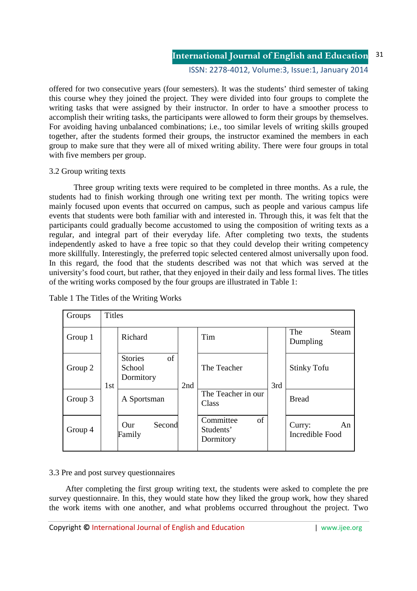## ISSN: 2278-4012, Volume:3, Issue:1, January 2014

offered for two consecutive years (four semesters). It was the students' third semester of taking this course whey they joined the project. They were divided into four groups to complete the writing tasks that were assigned by their instructor. In order to have a smoother process to accomplish their writing tasks, the participants were allowed to form their groups by themselves. For avoiding having unbalanced combinations; i.e., too similar levels of writing skills grouped together, after the students formed their groups, the instructor examined the members in each group to make sure that they were all of mixed writing ability. There were four groups in total with five members per group.

# 3.2 Group writing texts

 Three group writing texts were required to be completed in three months. As a rule, the students had to finish working through one writing text per month. The writing topics were mainly focused upon events that occurred on campus, such as people and various campus life events that students were both familiar with and interested in. Through this, it was felt that the participants could gradually become accustomed to using the composition of writing texts as a regular, and integral part of their everyday life. After completing two texts, the students independently asked to have a free topic so that they could develop their writing competency more skillfully. Interestingly, the preferred topic selected centered almost universally upon food. In this regard, the food that the students described was not that which was served at the university's food court, but rather, that they enjoyed in their daily and less formal lives. The titles of the writing works composed by the four groups are illustrated in Table 1:

| Groups  | <b>Titles</b> |                                                        |     |                                           |     |                                 |  |  |  |  |  |
|---------|---------------|--------------------------------------------------------|-----|-------------------------------------------|-----|---------------------------------|--|--|--|--|--|
| Group 1 | 1st           | Richard                                                | 2nd | Tim                                       | 3rd | The<br>Steam<br>Dumpling        |  |  |  |  |  |
| Group 2 |               | <sub>of</sub><br><b>Stories</b><br>School<br>Dormitory |     | The Teacher                               |     | <b>Stinky Tofu</b>              |  |  |  |  |  |
| Group 3 |               | A Sportsman                                            |     | The Teacher in our<br>Class               |     | <b>Bread</b>                    |  |  |  |  |  |
| Group 4 |               | Second<br>$_{\rm Our}$<br>Family                       |     | of<br>Committee<br>Students'<br>Dormitory |     | Curry:<br>An<br>Incredible Food |  |  |  |  |  |

Table 1 The Titles of the Writing Works

# 3.3 Pre and post survey questionnaires

After completing the first group writing text, the students were asked to complete the pre survey questionnaire. In this, they would state how they liked the group work, how they shared the work items with one another, and what problems occurred throughout the project. Two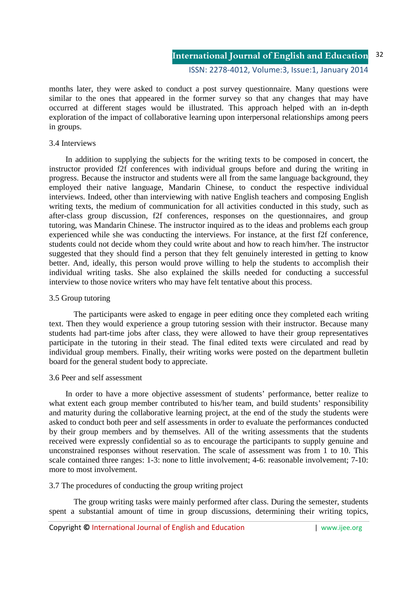ISSN: 2278-4012, Volume:3, Issue:1, January 2014

months later, they were asked to conduct a post survey questionnaire. Many questions were similar to the ones that appeared in the former survey so that any changes that may have occurred at different stages would be illustrated. This approach helped with an in-depth exploration of the impact of collaborative learning upon interpersonal relationships among peers in groups.

# 3.4 Interviews

In addition to supplying the subjects for the writing texts to be composed in concert, the instructor provided f2f conferences with individual groups before and during the writing in progress. Because the instructor and students were all from the same language background, they employed their native language, Mandarin Chinese, to conduct the respective individual interviews. Indeed, other than interviewing with native English teachers and composing English writing texts, the medium of communication for all activities conducted in this study, such as after-class group discussion, f2f conferences, responses on the questionnaires, and group tutoring, was Mandarin Chinese. The instructor inquired as to the ideas and problems each group experienced while she was conducting the interviews. For instance, at the first f2f conference, students could not decide whom they could write about and how to reach him/her. The instructor suggested that they should find a person that they felt genuinely interested in getting to know better. And, ideally, this person would prove willing to help the students to accomplish their individual writing tasks. She also explained the skills needed for conducting a successful interview to those novice writers who may have felt tentative about this process.

## 3.5 Group tutoring

 The participants were asked to engage in peer editing once they completed each writing text. Then they would experience a group tutoring session with their instructor. Because many students had part-time jobs after class, they were allowed to have their group representatives participate in the tutoring in their stead. The final edited texts were circulated and read by individual group members. Finally, their writing works were posted on the department bulletin board for the general student body to appreciate.

### 3.6 Peer and self assessment

In order to have a more objective assessment of students' performance, better realize to what extent each group member contributed to his/her team, and build students' responsibility and maturity during the collaborative learning project, at the end of the study the students were asked to conduct both peer and self assessments in order to evaluate the performances conducted by their group members and by themselves. All of the writing assessments that the students received were expressly confidential so as to encourage the participants to supply genuine and unconstrained responses without reservation. The scale of assessment was from 1 to 10. This scale contained three ranges: 1-3: none to little involvement; 4-6: reasonable involvement; 7-10: more to most involvement.

# 3.7 The procedures of conducting the group writing project

 The group writing tasks were mainly performed after class. During the semester, students spent a substantial amount of time in group discussions, determining their writing topics,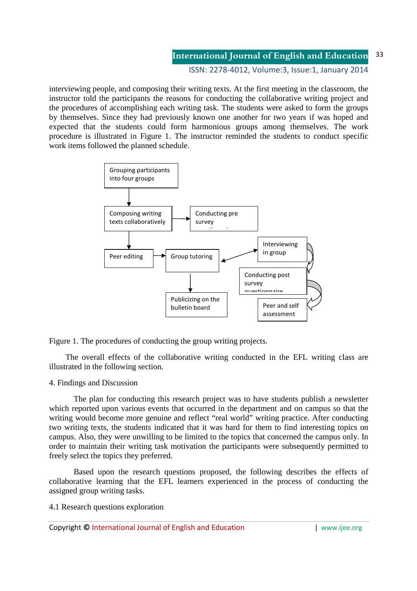ISSN: 2278-4012, Volume:3, Issue:1, January 2014

interviewing people, and composing their writing texts. At the first meeting in the classroom, the instructor told the participants the reasons for conducting the collaborative writing project and the procedures of accomplishing each writing task. The students were asked to form the groups by themselves. Since they had previously known one another for two years if was hoped and expected that the students could form harmonious groups among themselves. The work procedure is illustrated in Figure 1. The instructor reminded the students to conduct specific work items followed the planned schedule.



Figure 1. The procedures of conducting the group writing projects.

The overall effects of the collaborative writing conducted in the EFL writing class are illustrated in the following section.

# 4. Findings and Discussion

 The plan for conducting this research project was to have students publish a newsletter which reported upon various events that occurred in the department and on campus so that the writing would become more genuine and reflect "real world" writing practice. After conducting two writing texts, the students indicated that it was hard for them to find interesting topics on campus. Also, they were unwilling to be limited to the topics that concerned the campus only. In order to maintain their writing task motivation the participants were subsequently permitted to freely select the topics they preferred.

 Based upon the research questions proposed, the following describes the effects of collaborative learning that the EFL learners experienced in the process of conducting the assigned group writing tasks.

4.1 Research questions exploration

Copyright **©** International Journal of English and Education | www.ijee.org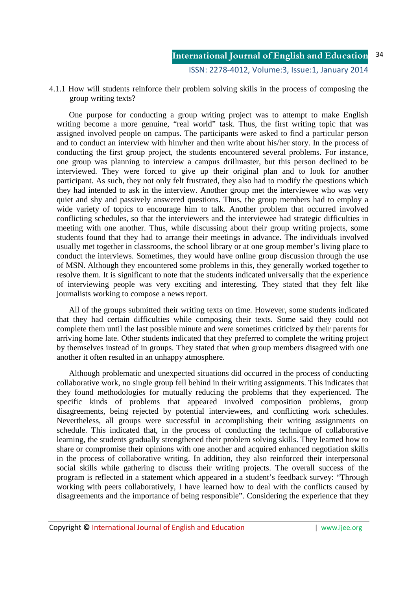4.1.1 How will students reinforce their problem solving skills in the process of composing the group writing texts?

One purpose for conducting a group writing project was to attempt to make English writing become a more genuine, "real world" task. Thus, the first writing topic that was assigned involved people on campus. The participants were asked to find a particular person and to conduct an interview with him/her and then write about his/her story. In the process of conducting the first group project, the students encountered several problems. For instance, one group was planning to interview a campus drillmaster, but this person declined to be interviewed. They were forced to give up their original plan and to look for another participant. As such, they not only felt frustrated, they also had to modify the questions which they had intended to ask in the interview. Another group met the interviewee who was very quiet and shy and passively answered questions. Thus, the group members had to employ a wide variety of topics to encourage him to talk. Another problem that occurred involved conflicting schedules, so that the interviewers and the interviewee had strategic difficulties in meeting with one another. Thus, while discussing about their group writing projects, some students found that they had to arrange their meetings in advance. The individuals involved usually met together in classrooms, the school library or at one group member's living place to conduct the interviews. Sometimes, they would have online group discussion through the use of MSN. Although they encountered some problems in this, they generally worked together to resolve them. It is significant to note that the students indicated universally that the experience of interviewing people was very exciting and interesting. They stated that they felt like journalists working to compose a news report.

All of the groups submitted their writing texts on time. However, some students indicated that they had certain difficulties while composing their texts. Some said they could not complete them until the last possible minute and were sometimes criticized by their parents for arriving home late. Other students indicated that they preferred to complete the writing project by themselves instead of in groups. They stated that when group members disagreed with one another it often resulted in an unhappy atmosphere.

Although problematic and unexpected situations did occurred in the process of conducting collaborative work, no single group fell behind in their writing assignments. This indicates that they found methodologies for mutually reducing the problems that they experienced. The specific kinds of problems that appeared involved composition problems, group disagreements, being rejected by potential interviewees, and conflicting work schedules. Nevertheless, all groups were successful in accomplishing their writing assignments on schedule. This indicated that, in the process of conducting the technique of collaborative learning, the students gradually strengthened their problem solving skills. They learned how to share or compromise their opinions with one another and acquired enhanced negotiation skills in the process of collaborative writing. In addition, they also reinforced their interpersonal social skills while gathering to discuss their writing projects. The overall success of the program is reflected in a statement which appeared in a student's feedback survey: "Through working with peers collaboratively, I have learned how to deal with the conflicts caused by disagreements and the importance of being responsible". Considering the experience that they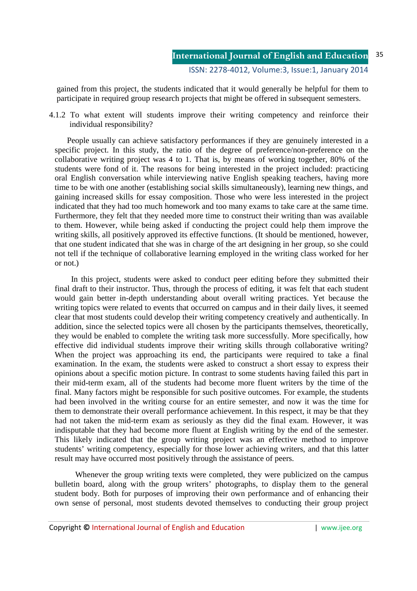gained from this project, the students indicated that it would generally be helpful for them to participate in required group research projects that might be offered in subsequent semesters.

4.1.2 To what extent will students improve their writing competency and reinforce their individual responsibility?

People usually can achieve satisfactory performances if they are genuinely interested in a specific project. In this study, the ratio of the degree of preference/non-preference on the collaborative writing project was 4 to 1. That is, by means of working together, 80% of the students were fond of it. The reasons for being interested in the project included: practicing oral English conversation while interviewing native English speaking teachers, having more time to be with one another (establishing social skills simultaneously), learning new things, and gaining increased skills for essay composition. Those who were less interested in the project indicated that they had too much homework and too many exams to take care at the same time. Furthermore, they felt that they needed more time to construct their writing than was available to them. However, while being asked if conducting the project could help them improve the writing skills, all positively approved its effective functions. (It should be mentioned, however, that one student indicated that she was in charge of the art designing in her group, so she could not tell if the technique of collaborative learning employed in the writing class worked for her or not.)

 In this project, students were asked to conduct peer editing before they submitted their final draft to their instructor. Thus, through the process of editing, it was felt that each student would gain better in-depth understanding about overall writing practices. Yet because the writing topics were related to events that occurred on campus and in their daily lives, it seemed clear that most students could develop their writing competency creatively and authentically. In addition, since the selected topics were all chosen by the participants themselves, theoretically, they would be enabled to complete the writing task more successfully. More specifically, how effective did individual students improve their writing skills through collaborative writing? When the project was approaching its end, the participants were required to take a final examination. In the exam, the students were asked to construct a short essay to express their opinions about a specific motion picture. In contrast to some students having failed this part in their mid-term exam, all of the students had become more fluent writers by the time of the final. Many factors might be responsible for such positive outcomes. For example, the students had been involved in the writing course for an entire semester, and now it was the time for them to demonstrate their overall performance achievement. In this respect, it may be that they had not taken the mid-term exam as seriously as they did the final exam. However, it was indisputable that they had become more fluent at English writing by the end of the semester. This likely indicated that the group writing project was an effective method to improve students' writing competency, especially for those lower achieving writers, and that this latter result may have occurred most positively through the assistance of peers.

Whenever the group writing texts were completed, they were publicized on the campus bulletin board, along with the group writers' photographs, to display them to the general student body. Both for purposes of improving their own performance and of enhancing their own sense of personal, most students devoted themselves to conducting their group project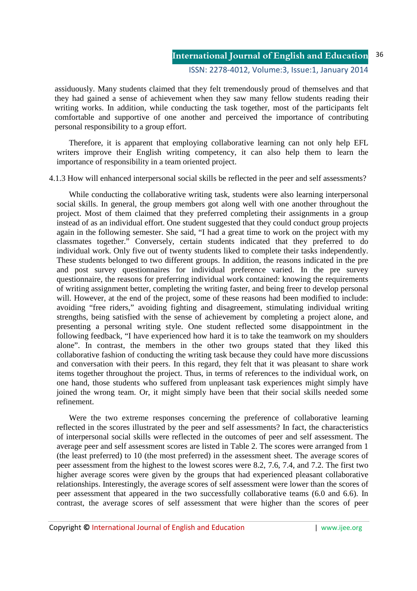assiduously. Many students claimed that they felt tremendously proud of themselves and that they had gained a sense of achievement when they saw many fellow students reading their writing works. In addition, while conducting the task together, most of the participants felt comfortable and supportive of one another and perceived the importance of contributing personal responsibility to a group effort.

Therefore, it is apparent that employing collaborative learning can not only help EFL writers improve their English writing competency, it can also help them to learn the importance of responsibility in a team oriented project.

4.1.3 How will enhanced interpersonal social skills be reflected in the peer and self assessments?

While conducting the collaborative writing task, students were also learning interpersonal social skills. In general, the group members got along well with one another throughout the project. Most of them claimed that they preferred completing their assignments in a group instead of as an individual effort. One student suggested that they could conduct group projects again in the following semester. She said, "I had a great time to work on the project with my classmates together." Conversely, certain students indicated that they preferred to do individual work. Only five out of twenty students liked to complete their tasks independently. These students belonged to two different groups. In addition, the reasons indicated in the pre and post survey questionnaires for individual preference varied. In the pre survey questionnaire, the reasons for preferring individual work contained: knowing the requirements of writing assignment better, completing the writing faster, and being freer to develop personal will. However, at the end of the project, some of these reasons had been modified to include: avoiding "free riders," avoiding fighting and disagreement, stimulating individual writing strengths, being satisfied with the sense of achievement by completing a project alone, and presenting a personal writing style. One student reflected some disappointment in the following feedback, "I have experienced how hard it is to take the teamwork on my shoulders alone". In contrast, the members in the other two groups stated that they liked this collaborative fashion of conducting the writing task because they could have more discussions and conversation with their peers. In this regard, they felt that it was pleasant to share work items together throughout the project. Thus, in terms of references to the individual work, on one hand, those students who suffered from unpleasant task experiences might simply have joined the wrong team. Or, it might simply have been that their social skills needed some refinement.

Were the two extreme responses concerning the preference of collaborative learning reflected in the scores illustrated by the peer and self assessments? In fact, the characteristics of interpersonal social skills were reflected in the outcomes of peer and self assessment. The average peer and self assessment scores are listed in Table 2. The scores were arranged from 1 (the least preferred) to 10 (the most preferred) in the assessment sheet. The average scores of peer assessment from the highest to the lowest scores were 8.2, 7.6, 7.4, and 7.2. The first two higher average scores were given by the groups that had experienced pleasant collaborative relationships. Interestingly, the average scores of self assessment were lower than the scores of peer assessment that appeared in the two successfully collaborative teams (6.0 and 6.6). In contrast, the average scores of self assessment that were higher than the scores of peer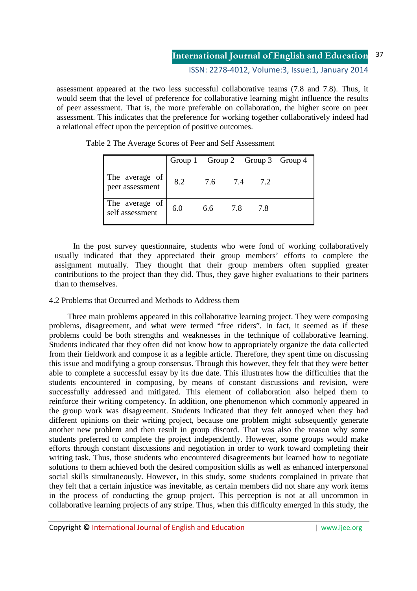assessment appeared at the two less successful collaborative teams (7.8 and 7.8). Thus, it would seem that the level of preference for collaborative learning might influence the results of peer assessment. That is, the more preferable on collaboration, the higher score on peer assessment. This indicates that the preference for working together collaboratively indeed had a relational effect upon the perception of positive outcomes.

|                                   |     |         |     | Group 1 Group 2 Group 3 Group 4 |  |
|-----------------------------------|-----|---------|-----|---------------------------------|--|
| The average of<br>peer assessment | 8.2 | 7.6 7.4 |     | 7.2                             |  |
| The average of<br>self assessment | 6.0 | 6.6     | 7.8 | 7.8                             |  |

Table 2 The Average Scores of Peer and Self Assessment

In the post survey questionnaire, students who were fond of working collaboratively usually indicated that they appreciated their group members' efforts to complete the assignment mutually. They thought that their group members often supplied greater contributions to the project than they did. Thus, they gave higher evaluations to their partners than to themselves.

# 4.2 Problems that Occurred and Methods to Address them

Three main problems appeared in this collaborative learning project. They were composing problems, disagreement, and what were termed "free riders". In fact, it seemed as if these problems could be both strengths and weaknesses in the technique of collaborative learning. Students indicated that they often did not know how to appropriately organize the data collected from their fieldwork and compose it as a legible article. Therefore, they spent time on discussing this issue and modifying a group consensus. Through this however, they felt that they were better able to complete a successful essay by its due date. This illustrates how the difficulties that the students encountered in composing, by means of constant discussions and revision, were successfully addressed and mitigated. This element of collaboration also helped them to reinforce their writing competency. In addition, one phenomenon which commonly appeared in the group work was disagreement. Students indicated that they felt annoyed when they had different opinions on their writing project, because one problem might subsequently generate another new problem and then result in group discord. That was also the reason why some students preferred to complete the project independently. However, some groups would make efforts through constant discussions and negotiation in order to work toward completing their writing task. Thus, those students who encountered disagreements but learned how to negotiate solutions to them achieved both the desired composition skills as well as enhanced interpersonal social skills simultaneously. However, in this study, some students complained in private that they felt that a certain injustice was inevitable, as certain members did not share any work items in the process of conducting the group project. This perception is not at all uncommon in collaborative learning projects of any stripe. Thus, when this difficulty emerged in this study, the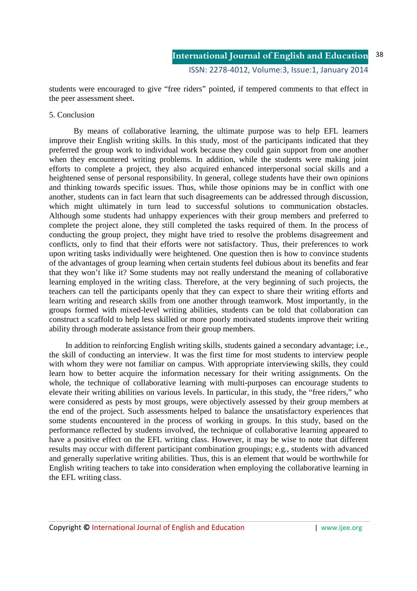students were encouraged to give "free riders" pointed, if tempered comments to that effect in the peer assessment sheet.

## 5. Conclusion

 By means of collaborative learning, the ultimate purpose was to help EFL learners improve their English writing skills. In this study, most of the participants indicated that they preferred the group work to individual work because they could gain support from one another when they encountered writing problems. In addition, while the students were making joint efforts to complete a project, they also acquired enhanced interpersonal social skills and a heightened sense of personal responsibility. In general, college students have their own opinions and thinking towards specific issues. Thus, while those opinions may be in conflict with one another, students can in fact learn that such disagreements can be addressed through discussion, which might ultimately in turn lead to successful solutions to communication obstacles. Although some students had unhappy experiences with their group members and preferred to complete the project alone, they still completed the tasks required of them. In the process of conducting the group project, they might have tried to resolve the problems disagreement and conflicts, only to find that their efforts were not satisfactory. Thus, their preferences to work upon writing tasks individually were heightened. One question then is how to convince students of the advantages of group learning when certain students feel dubious about its benefits and fear that they won't like it? Some students may not really understand the meaning of collaborative learning employed in the writing class. Therefore, at the very beginning of such projects, the teachers can tell the participants openly that they can expect to share their writing efforts and learn writing and research skills from one another through teamwork. Most importantly, in the groups formed with mixed-level writing abilities, students can be told that collaboration can construct a scaffold to help less skilled or more poorly motivated students improve their writing ability through moderate assistance from their group members.

In addition to reinforcing English writing skills, students gained a secondary advantage; i.e., the skill of conducting an interview. It was the first time for most students to interview people with whom they were not familiar on campus. With appropriate interviewing skills, they could learn how to better acquire the information necessary for their writing assignments. On the whole, the technique of collaborative learning with multi-purposes can encourage students to elevate their writing abilities on various levels. In particular, in this study, the "free riders," who were considered as pests by most groups, were objectively assessed by their group members at the end of the project. Such assessments helped to balance the unsatisfactory experiences that some students encountered in the process of working in groups. In this study, based on the performance reflected by students involved, the technique of collaborative learning appeared to have a positive effect on the EFL writing class. However, it may be wise to note that different results may occur with different participant combination groupings; e.g., students with advanced and generally superlative writing abilities. Thus, this is an element that would be worthwhile for English writing teachers to take into consideration when employing the collaborative learning in the EFL writing class.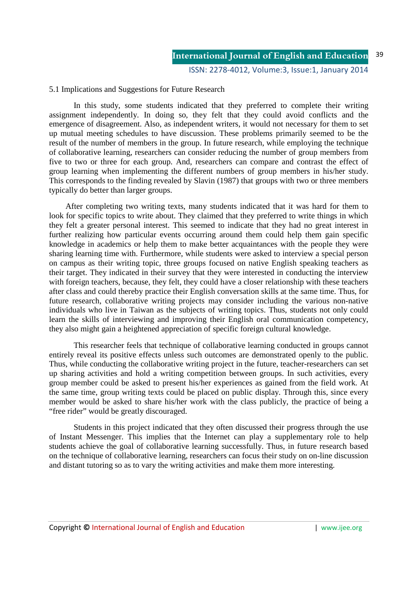# 5.1 Implications and Suggestions for Future Research

 In this study, some students indicated that they preferred to complete their writing assignment independently. In doing so, they felt that they could avoid conflicts and the emergence of disagreement. Also, as independent writers, it would not necessary for them to set up mutual meeting schedules to have discussion. These problems primarily seemed to be the result of the number of members in the group. In future research, while employing the technique of collaborative learning, researchers can consider reducing the number of group members from five to two or three for each group. And, researchers can compare and contrast the effect of group learning when implementing the different numbers of group members in his/her study. This corresponds to the finding revealed by Slavin (1987) that groups with two or three members typically do better than larger groups.

After completing two writing texts, many students indicated that it was hard for them to look for specific topics to write about. They claimed that they preferred to write things in which they felt a greater personal interest. This seemed to indicate that they had no great interest in further realizing how particular events occurring around them could help them gain specific knowledge in academics or help them to make better acquaintances with the people they were sharing learning time with. Furthermore, while students were asked to interview a special person on campus as their writing topic, three groups focused on native English speaking teachers as their target. They indicated in their survey that they were interested in conducting the interview with foreign teachers, because, they felt, they could have a closer relationship with these teachers after class and could thereby practice their English conversation skills at the same time. Thus, for future research, collaborative writing projects may consider including the various non-native individuals who live in Taiwan as the subjects of writing topics. Thus, students not only could learn the skills of interviewing and improving their English oral communication competency, they also might gain a heightened appreciation of specific foreign cultural knowledge.

 This researcher feels that technique of collaborative learning conducted in groups cannot entirely reveal its positive effects unless such outcomes are demonstrated openly to the public. Thus, while conducting the collaborative writing project in the future, teacher-researchers can set up sharing activities and hold a writing competition between groups. In such activities, every group member could be asked to present his/her experiences as gained from the field work. At the same time, group writing texts could be placed on public display. Through this, since every member would be asked to share his/her work with the class publicly, the practice of being a "free rider" would be greatly discouraged.

 Students in this project indicated that they often discussed their progress through the use of Instant Messenger. This implies that the Internet can play a supplementary role to help students achieve the goal of collaborative learning successfully. Thus, in future research based on the technique of collaborative learning, researchers can focus their study on on-line discussion and distant tutoring so as to vary the writing activities and make them more interesting.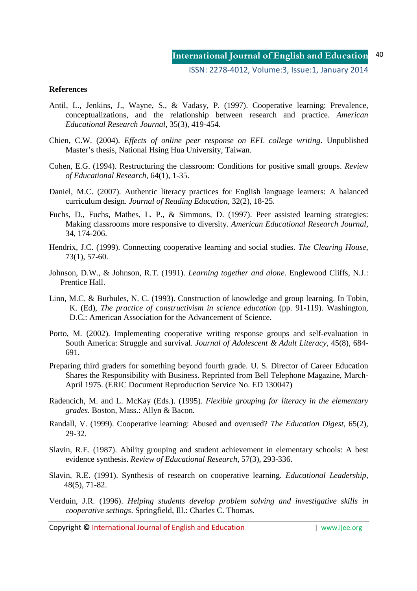### **References**

- Antil, L., Jenkins, J., Wayne, S., & Vadasy, P. (1997). Cooperative learning: Prevalence, conceptualizations, and the relationship between research and practice. *American Educational Research Journal*, 35(3), 419-454.
- Chien, C.W. (2004). *Effects of online peer response on EFL college writing*. Unpublished Master's thesis, National Hsing Hua University, Taiwan.
- Cohen, E.G. (1994). Restructuring the classroom: Conditions for positive small groups. *Review of Educational Research*, 64(1), 1-35.
- Daniel, M.C. (2007). Authentic literacy practices for English language learners: A balanced curriculum design. *Journal of Reading Education*, 32(2), 18-25.
- Fuchs, D., Fuchs, Mathes, L. P., & Simmons, D. (1997). Peer assisted learning strategies: Making classrooms more responsive to diversity. *American Educational Research Journal*, 34, 174-206.
- Hendrix, J.C. (1999). Connecting cooperative learning and social studies. *The Clearing House*, 73(1), 57-60.
- Johnson, D.W., & Johnson, R.T. (1991). *Learning together and alone*. Englewood Cliffs, N.J.: Prentice Hall.
- Linn, M.C. & Burbules, N. C. (1993). Construction of knowledge and group learning. In Tobin, K. (Ed), *The practice of constructivism in science education* (pp. 91-119). Washington, D.C.: American Association for the Advancement of Science.
- Porto, M. (2002). Implementing cooperative writing response groups and self-evaluation in South America: Struggle and survival. *Journal of Adolescent & Adult Literacy*, 45(8), 684- 691.
- Preparing third graders for something beyond fourth grade. U. S. Director of Career Education Shares the Responsibility with Business. Reprinted from Bell Telephone Magazine, March-April 1975. (ERIC Document Reproduction Service No. ED 130047)
- Radencich, M. and L. McKay (Eds.). (1995). *Flexible grouping for literacy in the elementary grades*. Boston, Mass.: Allyn & Bacon.
- Randall, V. (1999). Cooperative learning: Abused and overused? *The Education Digest*, 65(2), 29-32.
- Slavin, R.E. (1987). Ability grouping and student achievement in elementary schools: A best evidence synthesis. *Review of Educational Research*, 57(3), 293-336.
- Slavin, R.E. (1991). Synthesis of research on cooperative learning. *Educational Leadership*, 48(5), 71-82.
- Verduin, J.R. (1996). *Helping students develop problem solving and investigative skills in cooperative settings*. Springfield, Ill.: Charles C. Thomas.

Copyright **©** International Journal of English and Education | www.ijee.org